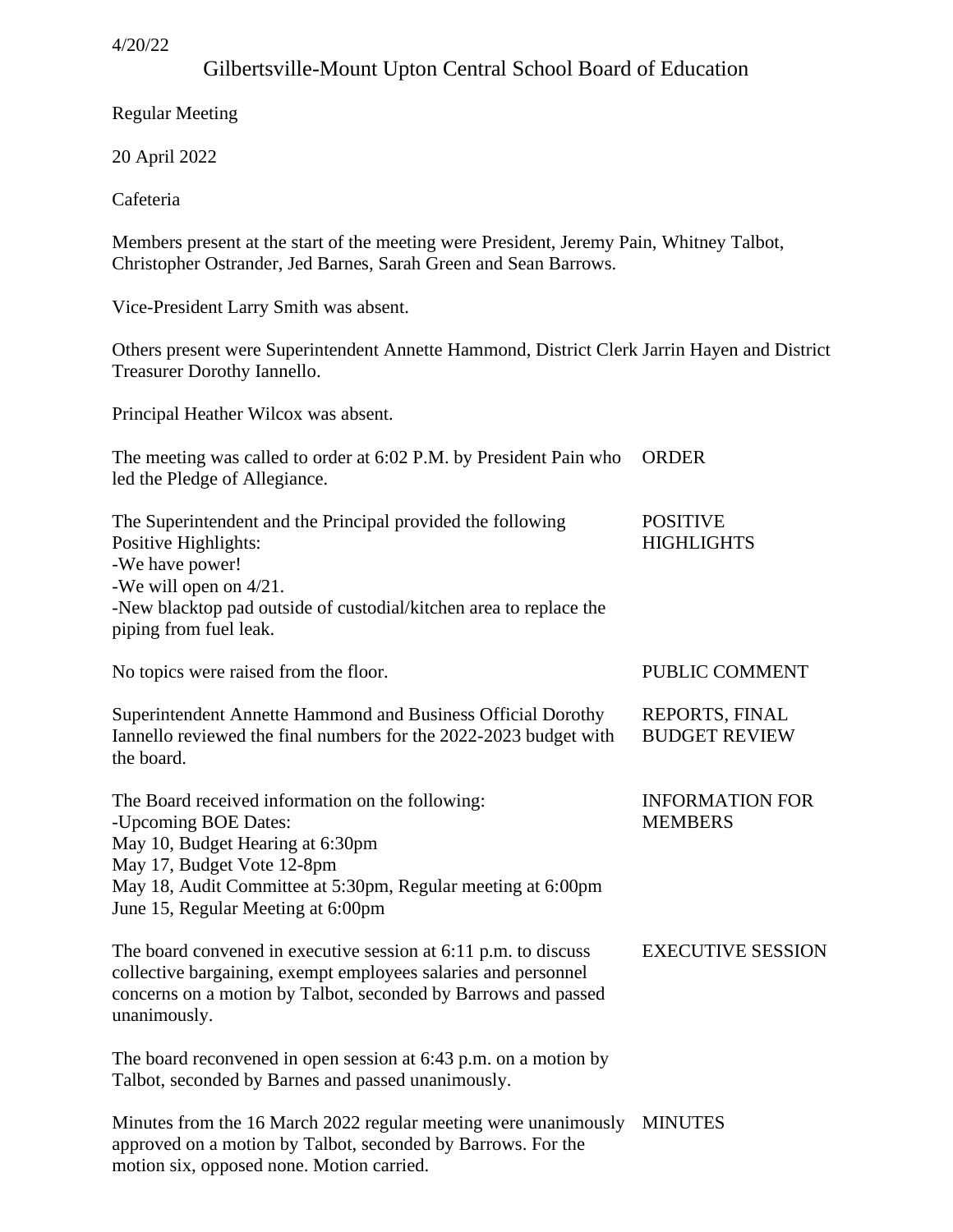# Gilbertsville-Mount Upton Central School Board of Education

Regular Meeting

20 April 2022

Cafeteria

Members present at the start of the meeting were President, Jeremy Pain, Whitney Talbot, Christopher Ostrander, Jed Barnes, Sarah Green and Sean Barrows.

Vice-President Larry Smith was absent.

Others present were Superintendent Annette Hammond, District Clerk Jarrin Hayen and District Treasurer Dorothy Iannello.

Principal Heather Wilcox was absent.

| The meeting was called to order at 6:02 P.M. by President Pain who<br>led the Pledge of Allegiance.                                                                                                                                              | <b>ORDER</b>                             |
|--------------------------------------------------------------------------------------------------------------------------------------------------------------------------------------------------------------------------------------------------|------------------------------------------|
| The Superintendent and the Principal provided the following<br>Positive Highlights:<br>-We have power!<br>-We will open on $4/21$ .<br>-New blacktop pad outside of custodial/kitchen area to replace the<br>piping from fuel leak.              | <b>POSITIVE</b><br><b>HIGHLIGHTS</b>     |
| No topics were raised from the floor.                                                                                                                                                                                                            | PUBLIC COMMENT                           |
| Superintendent Annette Hammond and Business Official Dorothy<br>Iannello reviewed the final numbers for the 2022-2023 budget with<br>the board.                                                                                                  | REPORTS, FINAL<br><b>BUDGET REVIEW</b>   |
| The Board received information on the following:<br>-Upcoming BOE Dates:<br>May 10, Budget Hearing at 6:30pm<br>May 17, Budget Vote 12-8pm<br>May 18, Audit Committee at 5:30pm, Regular meeting at 6:00pm<br>June 15, Regular Meeting at 6:00pm | <b>INFORMATION FOR</b><br><b>MEMBERS</b> |
| The board convened in executive session at 6:11 p.m. to discuss<br>collective bargaining, exempt employees salaries and personnel<br>concerns on a motion by Talbot, seconded by Barrows and passed<br>unanimously.                              | <b>EXECUTIVE SESSION</b>                 |
| The board reconvened in open session at $6:43$ p.m. on a motion by<br>Talbot, seconded by Barnes and passed unanimously.                                                                                                                         |                                          |
| Minutes from the 16 March 2022 regular meeting were unanimously<br>approved on a motion by Talbot, seconded by Barrows. For the                                                                                                                  | <b>MINUTES</b>                           |

motion six, opposed none. Motion carried.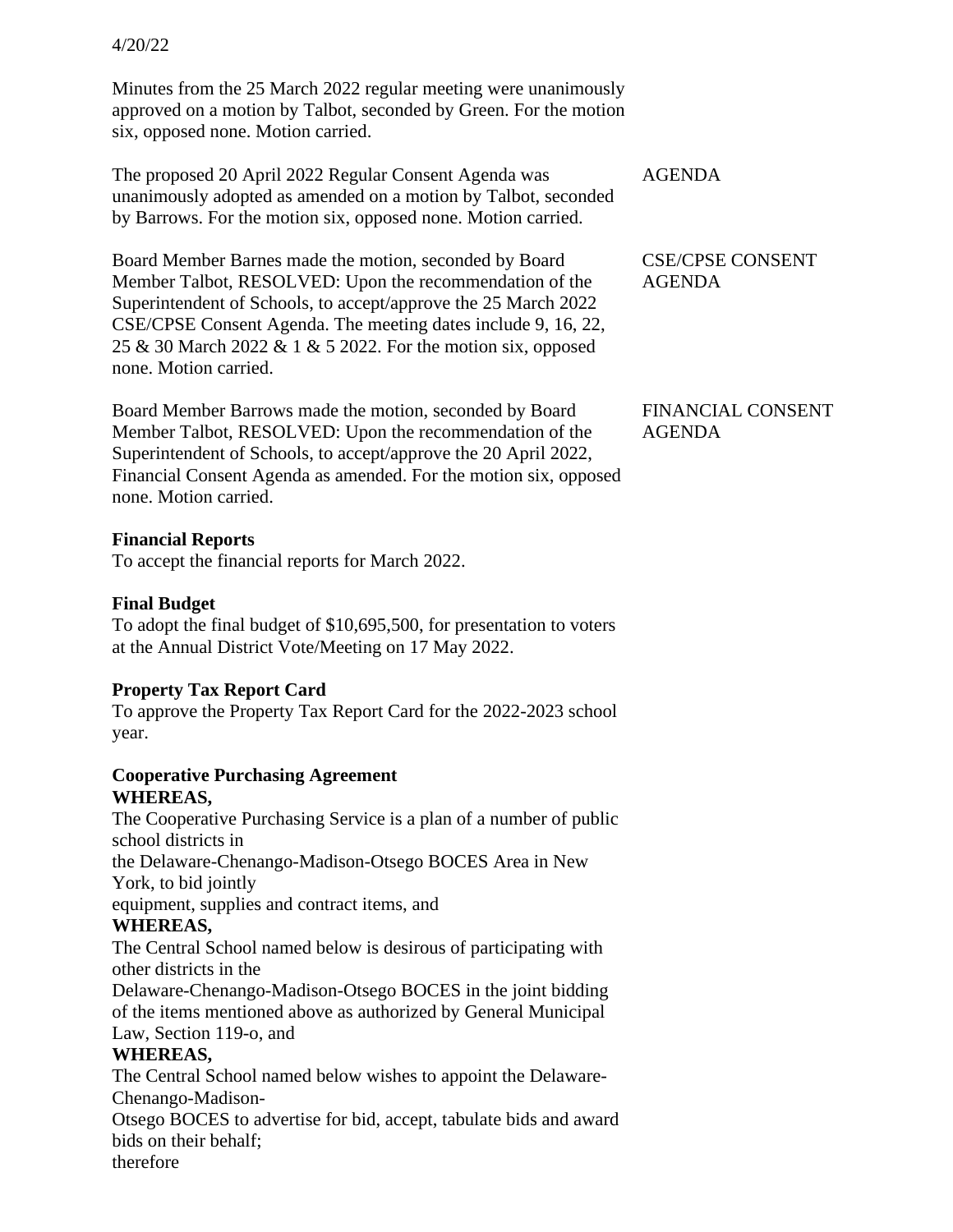Minutes from the 25 March 2022 regular meeting were unanimously approved on a motion by Talbot, seconded by Green. For the motion six, opposed none. Motion carried.

The proposed 20 April 2022 Regular Consent Agenda was unanimously adopted as amended on a motion by Talbot, seconded by Barrows. For the motion six, opposed none. Motion carried.

Board Member Barnes made the motion, seconded by Board Member Talbot, RESOLVED: Upon the recommendation of the Superintendent of Schools, to accept/approve the 25 March 2022 CSE/CPSE Consent Agenda. The meeting dates include 9, 16, 22, 25 & 30 March 2022 & 1 & 5 2022. For the motion six, opposed none. Motion carried.

Board Member Barrows made the motion, seconded by Board Member Talbot, RESOLVED: Upon the recommendation of the Superintendent of Schools, to accept/approve the 20 April 2022, Financial Consent Agenda as amended. For the motion six, opposed none. Motion carried.

#### **Financial Reports**

To accept the financial reports for March 2022.

### **Final Budget**

To adopt the final budget of \$10,695,500, for presentation to voters at the Annual District Vote/Meeting on 17 May 2022.

### **Property Tax Report Card**

To approve the Property Tax Report Card for the 2022-2023 school year.

#### **Cooperative Purchasing Agreement WHEREAS,**

The Cooperative Purchasing Service is a plan of a number of public school districts in

the Delaware-Chenango-Madison-Otsego BOCES Area in New York, to bid jointly

equipment, supplies and contract items, and

### **WHEREAS,**

The Central School named below is desirous of participating with other districts in the

Delaware-Chenango-Madison-Otsego BOCES in the joint bidding of the items mentioned above as authorized by General Municipal Law, Section 119-o, and

### **WHEREAS,**

The Central School named below wishes to appoint the Delaware-Chenango-Madison-

Otsego BOCES to advertise for bid, accept, tabulate bids and award bids on their behalf;

therefore

| AGENDA |
|--------|
|--------|

CSE/CPSE CONSENT AGENDA

FINANCIAL CONSENT AGENDA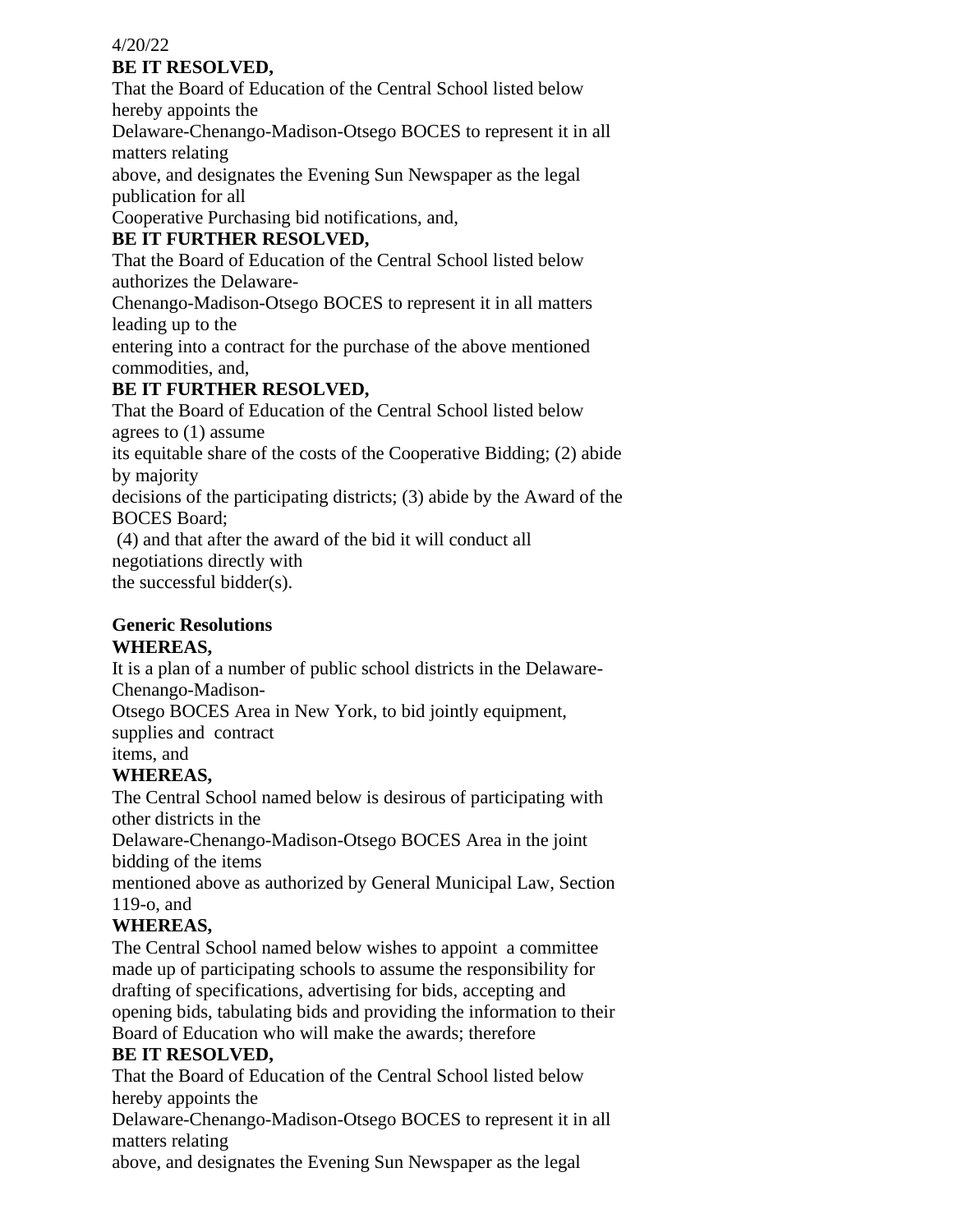### **BE IT RESOLVED,**

That the Board of Education of the Central School listed below hereby appoints the

Delaware-Chenango-Madison-Otsego BOCES to represent it in all matters relating

above, and designates the Evening Sun Newspaper as the legal publication for all

Cooperative Purchasing bid notifications, and,

## **BE IT FURTHER RESOLVED,**

That the Board of Education of the Central School listed below authorizes the Delaware-

Chenango-Madison-Otsego BOCES to represent it in all matters leading up to the

entering into a contract for the purchase of the above mentioned commodities, and,

## **BE IT FURTHER RESOLVED,**

That the Board of Education of the Central School listed below agrees to (1) assume

its equitable share of the costs of the Cooperative Bidding; (2) abide by majority

decisions of the participating districts; (3) abide by the Award of the BOCES Board;

(4) and that after the award of the bid it will conduct all negotiations directly with the successful bidder(s).

## **Generic Resolutions**

### **WHEREAS,**

It is a plan of a number of public school districts in the Delaware-

Chenango-Madison-

Otsego BOCES Area in New York, to bid jointly equipment,

supplies and contract

items, and

## **WHEREAS,**

The Central School named below is desirous of participating with other districts in the

Delaware-Chenango-Madison-Otsego BOCES Area in the joint bidding of the items

mentioned above as authorized by General Municipal Law, Section 119-o, and

## **WHEREAS,**

The Central School named below wishes to appoint a committee made up of participating schools to assume the responsibility for drafting of specifications, advertising for bids, accepting and opening bids, tabulating bids and providing the information to their Board of Education who will make the awards; therefore

### **BE IT RESOLVED,**

That the Board of Education of the Central School listed below hereby appoints the

Delaware-Chenango-Madison-Otsego BOCES to represent it in all matters relating

above, and designates the Evening Sun Newspaper as the legal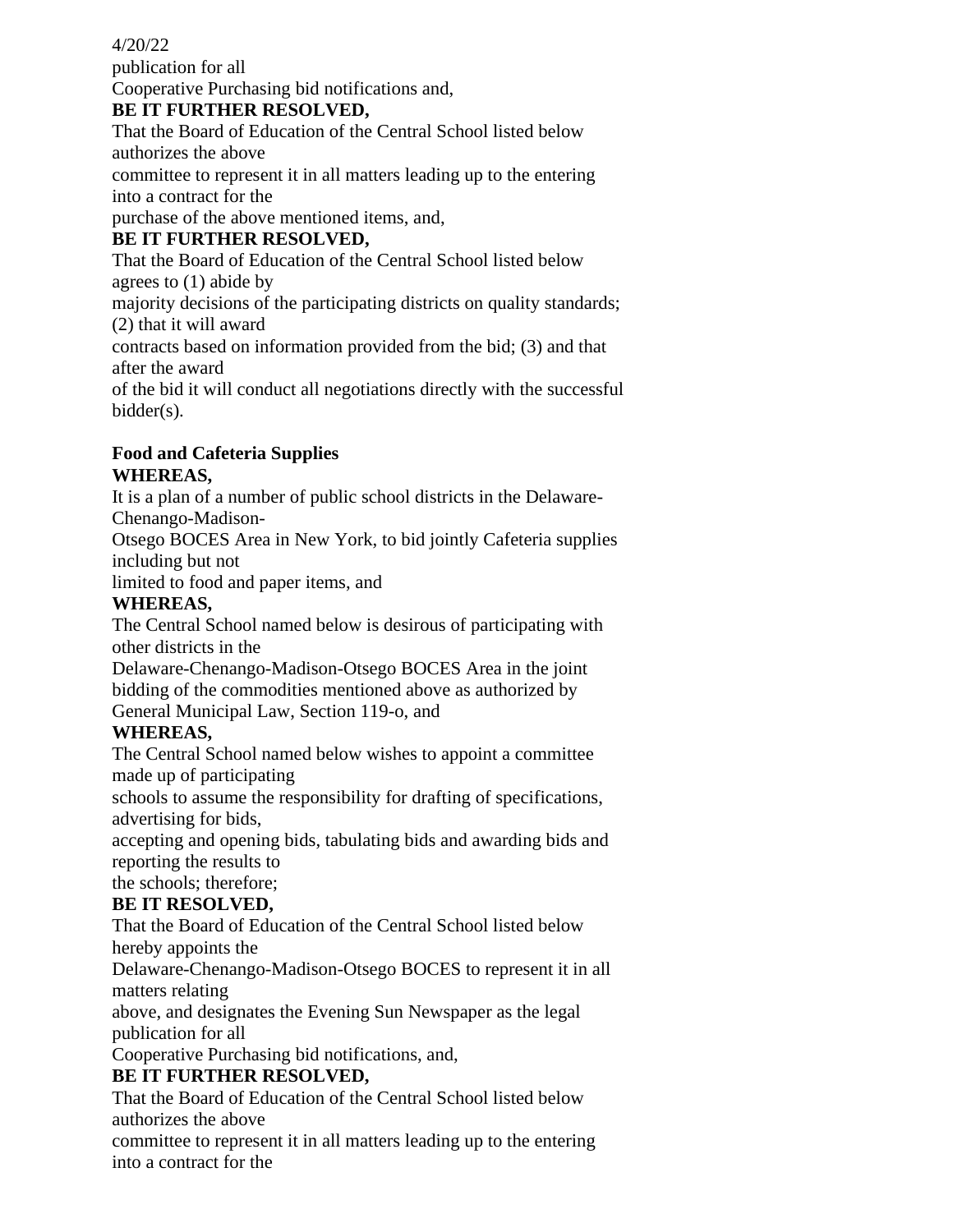publication for all Cooperative Purchasing bid notifications and,

### **BE IT FURTHER RESOLVED,**

That the Board of Education of the Central School listed below authorizes the above

committee to represent it in all matters leading up to the entering into a contract for the

purchase of the above mentioned items, and,

## **BE IT FURTHER RESOLVED,**

That the Board of Education of the Central School listed below agrees to (1) abide by

majority decisions of the participating districts on quality standards; (2) that it will award

contracts based on information provided from the bid; (3) and that after the award

of the bid it will conduct all negotiations directly with the successful bidder(s).

### **Food and Cafeteria Supplies WHEREAS,**

It is a plan of a number of public school districts in the Delaware-Chenango-Madison-

Otsego BOCES Area in New York, to bid jointly Cafeteria supplies including but not

limited to food and paper items, and

## **WHEREAS,**

The Central School named below is desirous of participating with other districts in the

Delaware-Chenango-Madison-Otsego BOCES Area in the joint bidding of the commodities mentioned above as authorized by General Municipal Law, Section 119-o, and

## **WHEREAS,**

The Central School named below wishes to appoint a committee made up of participating

schools to assume the responsibility for drafting of specifications, advertising for bids,

accepting and opening bids, tabulating bids and awarding bids and reporting the results to

the schools; therefore;

# **BE IT RESOLVED,**

That the Board of Education of the Central School listed below hereby appoints the

Delaware-Chenango-Madison-Otsego BOCES to represent it in all matters relating

above, and designates the Evening Sun Newspaper as the legal publication for all

Cooperative Purchasing bid notifications, and,

## **BE IT FURTHER RESOLVED,**

That the Board of Education of the Central School listed below authorizes the above

committee to represent it in all matters leading up to the entering into a contract for the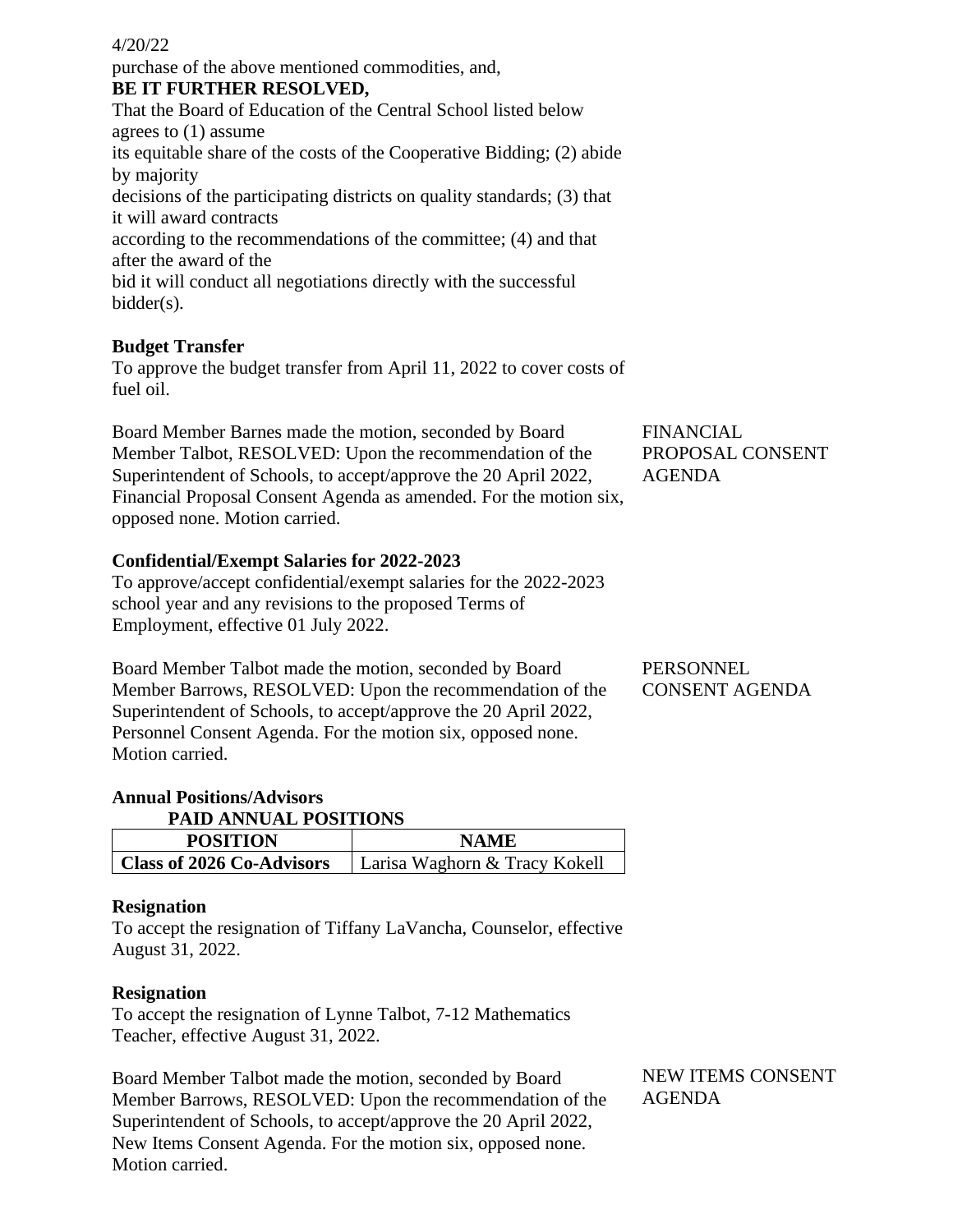purchase of the above mentioned commodities, and, **BE IT FURTHER RESOLVED,**

That the Board of Education of the Central School listed below agrees to (1) assume its equitable share of the costs of the Cooperative Bidding; (2) abide by majority decisions of the participating districts on quality standards; (3) that it will award contracts according to the recommendations of the committee; (4) and that after the award of the bid it will conduct all negotiations directly with the successful bidder(s).

### **Budget Transfer**

To approve the budget transfer from April 11, 2022 to cover costs of fuel oil.

Board Member Barnes made the motion, seconded by Board Member Talbot, RESOLVED: Upon the recommendation of the Superintendent of Schools, to accept/approve the 20 April 2022, Financial Proposal Consent Agenda as amended. For the motion six, opposed none. Motion carried.

**Confidential/Exempt Salaries for 2022-2023**

To approve/accept confidential/exempt salaries for the 2022-2023 school year and any revisions to the proposed Terms of Employment, effective 01 July 2022.

Board Member Talbot made the motion, seconded by Board Member Barrows, RESOLVED: Upon the recommendation of the Superintendent of Schools, to accept/approve the 20 April 2022, Personnel Consent Agenda. For the motion six, opposed none. Motion carried.

PERSONNEL

FINANCIAL

AGENDA

PROPOSAL CONSENT

CONSENT AGENDA

# **Annual Positions/Advisors**

**PAID ANNUAL POSITIONS**

| <b>POSITION</b>                  | <b>NAME</b>                   |
|----------------------------------|-------------------------------|
| <b>Class of 2026 Co-Advisors</b> | Larisa Waghorn & Tracy Kokell |

#### **Resignation**

To accept the resignation of Tiffany LaVancha, Counselor, effective August 31, 2022.

### **Resignation**

To accept the resignation of Lynne Talbot, 7-12 Mathematics Teacher, effective August 31, 2022.

Board Member Talbot made the motion, seconded by Board Member Barrows, RESOLVED: Upon the recommendation of the Superintendent of Schools, to accept/approve the 20 April 2022, New Items Consent Agenda. For the motion six, opposed none. Motion carried.

NEW ITEMS CONSENT AGENDA